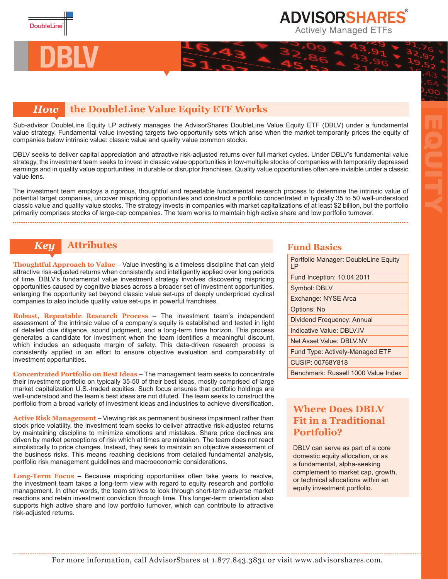

**DBLV**

## **ADVISORSHARES Actively Managed ETFs**

## *How* **the DoubleLine Value Equity ETF Works**

Sub-advisor DoubleLine Equity LP actively manages the AdvisorShares DoubleLine Value Equity ETF (DBLV) under a fundamental value strategy. Fundamental value investing targets two opportunity sets which arise when the market temporarily prices the equity of companies below intrinsic value: classic value and quality value common stocks.

DBLV seeks to deliver capital appreciation and attractive risk-adjusted returns over full market cycles. Under DBLV's fundamental value strategy, the investment team seeks to invest in classic value opportunities in low-multiple stocks of companies with temporarily depressed earnings and in quality value opportunities in durable or disruptor franchises. Quality value opportunities often are invisible under a classic value lens.

The investment team employs a rigorous, thoughtful and repeatable fundamental research process to determine the intrinsic value of potential target companies, uncover mispricing opportunities and construct a portfolio concentrated in typically 35 to 50 well-understood classic value and quality value stocks. The strategy invests in companies with market capitalizations of at least \$2 billion, but the portfolio primarily comprises stocks of large-cap companies. The team works to maintain high active share and low portfolio turnover.

## *Key* **Attributes <b>Fund Basics Fund Basics**

**Thoughtful Approach to Value** – Value investing is a timeless discipline that can yield attractive risk-adjusted returns when consistently and intelligently applied over long periods of time. DBLV's fundamental value investment strategy involves discovering mispricing opportunities caused by cognitive biases across a broader set of investment opportunities, enlarging the opportunity set beyond classic value set-ups of deeply underpriced cyclical companies to also include quality value set-ups in powerful franchises.

**Robust, Repeatable Research Process** – The investment team's independent assessment of the intrinsic value of a company's equity is established and tested in light of detailed due diligence, sound judgment, and a long-term time horizon. This process generates a candidate for investment when the team identifies a meaningful discount, which includes an adequate margin of safety. This data-driven research process is consistently applied in an effort to ensure objective evaluation and comparability of investment opportunities.

**Concentrated Portfolio on Best Ideas** – The management team seeks to concentrate their investment portfolio on typically 35-50 of their best ideas, mostly comprised of large market capitalization U.S.-traded equities. Such focus ensures that portfolio holdings are well-understood and the team's best ideas are not diluted. The team seeks to construct the portfolio from a broad variety of investment ideas and industries to achieve diversification.

**Active Risk Management** – Viewing risk as permanent business impairment rather than stock price volatility, the investment team seeks to deliver attractive risk-adjusted returns by maintaining discipline to minimize emotions and mistakes. Share price declines are driven by market perceptions of risk which at times are mistaken. The team does not react simplistically to price changes. Instead, they seek to maintain an objective assessment of the business risks. This means reaching decisions from detailed fundamental analysis, portfolio risk management guidelines and macroeconomic considerations.

**Long-Term Focus** – Because mispricing opportunities often take years to resolve, the investment team takes a long-term view with regard to equity research and portfolio management. In other words, the team strives to look through short-term adverse market reactions and retain investment conviction through time. This longer-term orientation also supports high active share and low portfolio turnover, which can contribute to attractive risk-adjusted returns.

| Portfolio Manager: DoubleLine Equity<br>ΙP |
|--------------------------------------------|
| Fund Inception: 10.04.2011                 |
| Symbol: DBLV                               |
| Exchange: NYSE Arca                        |
| Options: No                                |
| Dividend Frequency: Annual                 |
| Indicative Value: DBI V.IV                 |
| Net Asset Value: DBI V.NV                  |
| Fund Type: Actively-Managed ETF            |
| CUSIP: 00768Y818                           |
| Benchmark: Russell 1000 Value Index        |

EQUITY

## **Where Does DBLV Fit in a Traditional Portfolio?**

DBLV can serve as part of a core domestic equity allocation, or as a fundamental, alpha-seeking complement to market cap, growth, or technical allocations within an equity investment portfolio.